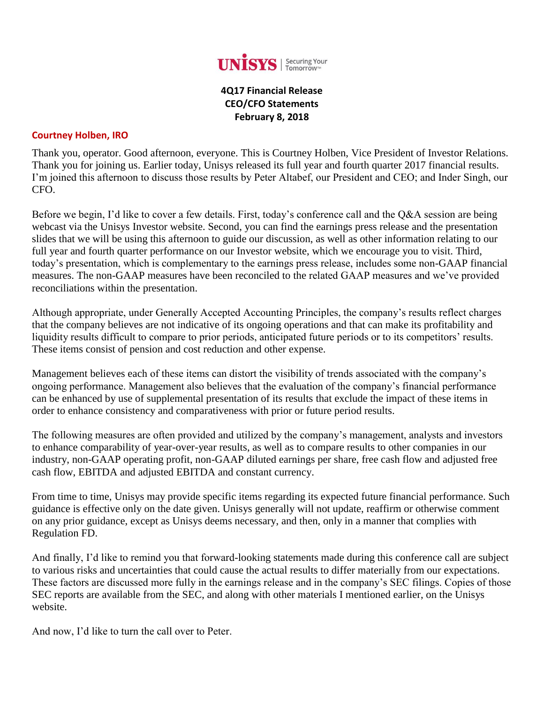

# **4Q17 Financial Release CEO/CFO Statements February 8, 2018**

#### **Courtney Holben, IRO**

Thank you, operator. Good afternoon, everyone. This is Courtney Holben, Vice President of Investor Relations. Thank you for joining us. Earlier today, Unisys released its full year and fourth quarter 2017 financial results. I'm joined this afternoon to discuss those results by Peter Altabef, our President and CEO; and Inder Singh, our CFO.

Before we begin, I'd like to cover a few details. First, today's conference call and the Q&A session are being webcast via the Unisys Investor website. Second, you can find the earnings press release and the presentation slides that we will be using this afternoon to guide our discussion, as well as other information relating to our full year and fourth quarter performance on our Investor website, which we encourage you to visit. Third, today's presentation, which is complementary to the earnings press release, includes some non-GAAP financial measures. The non-GAAP measures have been reconciled to the related GAAP measures and we've provided reconciliations within the presentation.

Although appropriate, under Generally Accepted Accounting Principles, the company's results reflect charges that the company believes are not indicative of its ongoing operations and that can make its profitability and liquidity results difficult to compare to prior periods, anticipated future periods or to its competitors' results. These items consist of pension and cost reduction and other expense.

Management believes each of these items can distort the visibility of trends associated with the company's ongoing performance. Management also believes that the evaluation of the company's financial performance can be enhanced by use of supplemental presentation of its results that exclude the impact of these items in order to enhance consistency and comparativeness with prior or future period results.

The following measures are often provided and utilized by the company's management, analysts and investors to enhance comparability of year-over-year results, as well as to compare results to other companies in our industry, non-GAAP operating profit, non-GAAP diluted earnings per share, free cash flow and adjusted free cash flow, EBITDA and adjusted EBITDA and constant currency.

From time to time, Unisys may provide specific items regarding its expected future financial performance. Such guidance is effective only on the date given. Unisys generally will not update, reaffirm or otherwise comment on any prior guidance, except as Unisys deems necessary, and then, only in a manner that complies with Regulation FD.

And finally, I'd like to remind you that forward-looking statements made during this conference call are subject to various risks and uncertainties that could cause the actual results to differ materially from our expectations. These factors are discussed more fully in the earnings release and in the company's SEC filings. Copies of those SEC reports are available from the SEC, and along with other materials I mentioned earlier, on the Unisys website.

And now, I'd like to turn the call over to Peter.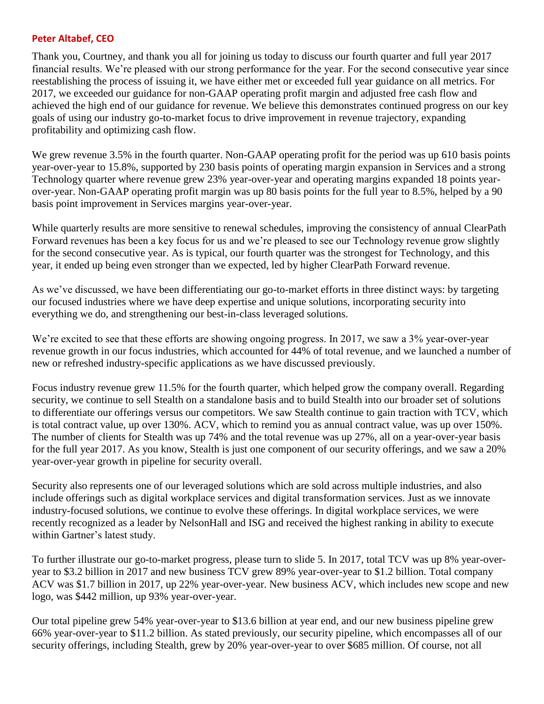### **Peter Altabef, CEO**

Thank you, Courtney, and thank you all for joining us today to discuss our fourth quarter and full year 2017 financial results. We're pleased with our strong performance for the year. For the second consecutive year since reestablishing the process of issuing it, we have either met or exceeded full year guidance on all metrics. For 2017, we exceeded our guidance for non-GAAP operating profit margin and adjusted free cash flow and achieved the high end of our guidance for revenue. We believe this demonstrates continued progress on our key goals of using our industry go-to-market focus to drive improvement in revenue trajectory, expanding profitability and optimizing cash flow.

We grew revenue 3.5% in the fourth quarter. Non-GAAP operating profit for the period was up 610 basis points year-over-year to 15.8%, supported by 230 basis points of operating margin expansion in Services and a strong Technology quarter where revenue grew 23% year-over-year and operating margins expanded 18 points yearover-year. Non-GAAP operating profit margin was up 80 basis points for the full year to 8.5%, helped by a 90 basis point improvement in Services margins year-over-year.

While quarterly results are more sensitive to renewal schedules, improving the consistency of annual ClearPath Forward revenues has been a key focus for us and we're pleased to see our Technology revenue grow slightly for the second consecutive year. As is typical, our fourth quarter was the strongest for Technology, and this year, it ended up being even stronger than we expected, led by higher ClearPath Forward revenue.

As we've discussed, we have been differentiating our go-to-market efforts in three distinct ways: by targeting our focused industries where we have deep expertise and unique solutions, incorporating security into everything we do, and strengthening our best-in-class leveraged solutions.

We're excited to see that these efforts are showing ongoing progress. In 2017, we saw a 3% year-over-year revenue growth in our focus industries, which accounted for 44% of total revenue, and we launched a number of new or refreshed industry-specific applications as we have discussed previously.

Focus industry revenue grew 11.5% for the fourth quarter, which helped grow the company overall. Regarding security, we continue to sell Stealth on a standalone basis and to build Stealth into our broader set of solutions to differentiate our offerings versus our competitors. We saw Stealth continue to gain traction with TCV, which is total contract value, up over 130%. ACV, which to remind you as annual contract value, was up over 150%. The number of clients for Stealth was up 74% and the total revenue was up 27%, all on a year-over-year basis for the full year 2017. As you know, Stealth is just one component of our security offerings, and we saw a 20% year-over-year growth in pipeline for security overall.

Security also represents one of our leveraged solutions which are sold across multiple industries, and also include offerings such as digital workplace services and digital transformation services. Just as we innovate industry-focused solutions, we continue to evolve these offerings. In digital workplace services, we were recently recognized as a leader by NelsonHall and ISG and received the highest ranking in ability to execute within Gartner's latest study.

To further illustrate our go-to-market progress, please turn to slide 5. In 2017, total TCV was up 8% year-overyear to \$3.2 billion in 2017 and new business TCV grew 89% year-over-year to \$1.2 billion. Total company ACV was \$1.7 billion in 2017, up 22% year-over-year. New business ACV, which includes new scope and new logo, was \$442 million, up 93% year-over-year.

Our total pipeline grew 54% year-over-year to \$13.6 billion at year end, and our new business pipeline grew 66% year-over-year to \$11.2 billion. As stated previously, our security pipeline, which encompasses all of our security offerings, including Stealth, grew by 20% year-over-year to over \$685 million. Of course, not all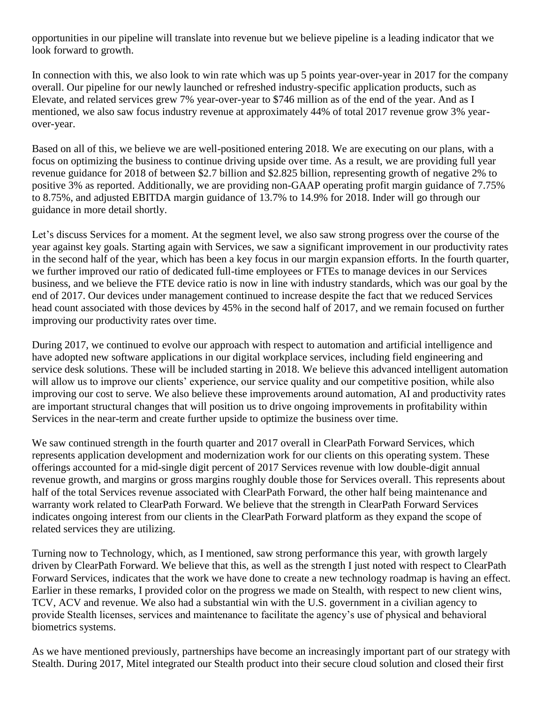opportunities in our pipeline will translate into revenue but we believe pipeline is a leading indicator that we look forward to growth.

In connection with this, we also look to win rate which was up 5 points year-over-year in 2017 for the company overall. Our pipeline for our newly launched or refreshed industry-specific application products, such as Elevate, and related services grew 7% year-over-year to \$746 million as of the end of the year. And as I mentioned, we also saw focus industry revenue at approximately 44% of total 2017 revenue grow 3% yearover-year.

Based on all of this, we believe we are well-positioned entering 2018. We are executing on our plans, with a focus on optimizing the business to continue driving upside over time. As a result, we are providing full year revenue guidance for 2018 of between \$2.7 billion and \$2.825 billion, representing growth of negative 2% to positive 3% as reported. Additionally, we are providing non-GAAP operating profit margin guidance of 7.75% to 8.75%, and adjusted EBITDA margin guidance of 13.7% to 14.9% for 2018. Inder will go through our guidance in more detail shortly.

Let's discuss Services for a moment. At the segment level, we also saw strong progress over the course of the year against key goals. Starting again with Services, we saw a significant improvement in our productivity rates in the second half of the year, which has been a key focus in our margin expansion efforts. In the fourth quarter, we further improved our ratio of dedicated full-time employees or FTEs to manage devices in our Services business, and we believe the FTE device ratio is now in line with industry standards, which was our goal by the end of 2017. Our devices under management continued to increase despite the fact that we reduced Services head count associated with those devices by 45% in the second half of 2017, and we remain focused on further improving our productivity rates over time.

During 2017, we continued to evolve our approach with respect to automation and artificial intelligence and have adopted new software applications in our digital workplace services, including field engineering and service desk solutions. These will be included starting in 2018. We believe this advanced intelligent automation will allow us to improve our clients' experience, our service quality and our competitive position, while also improving our cost to serve. We also believe these improvements around automation, AI and productivity rates are important structural changes that will position us to drive ongoing improvements in profitability within Services in the near-term and create further upside to optimize the business over time.

We saw continued strength in the fourth quarter and 2017 overall in ClearPath Forward Services, which represents application development and modernization work for our clients on this operating system. These offerings accounted for a mid-single digit percent of 2017 Services revenue with low double-digit annual revenue growth, and margins or gross margins roughly double those for Services overall. This represents about half of the total Services revenue associated with ClearPath Forward, the other half being maintenance and warranty work related to ClearPath Forward. We believe that the strength in ClearPath Forward Services indicates ongoing interest from our clients in the ClearPath Forward platform as they expand the scope of related services they are utilizing.

Turning now to Technology, which, as I mentioned, saw strong performance this year, with growth largely driven by ClearPath Forward. We believe that this, as well as the strength I just noted with respect to ClearPath Forward Services, indicates that the work we have done to create a new technology roadmap is having an effect. Earlier in these remarks, I provided color on the progress we made on Stealth, with respect to new client wins, TCV, ACV and revenue. We also had a substantial win with the U.S. government in a civilian agency to provide Stealth licenses, services and maintenance to facilitate the agency's use of physical and behavioral biometrics systems.

As we have mentioned previously, partnerships have become an increasingly important part of our strategy with Stealth. During 2017, Mitel integrated our Stealth product into their secure cloud solution and closed their first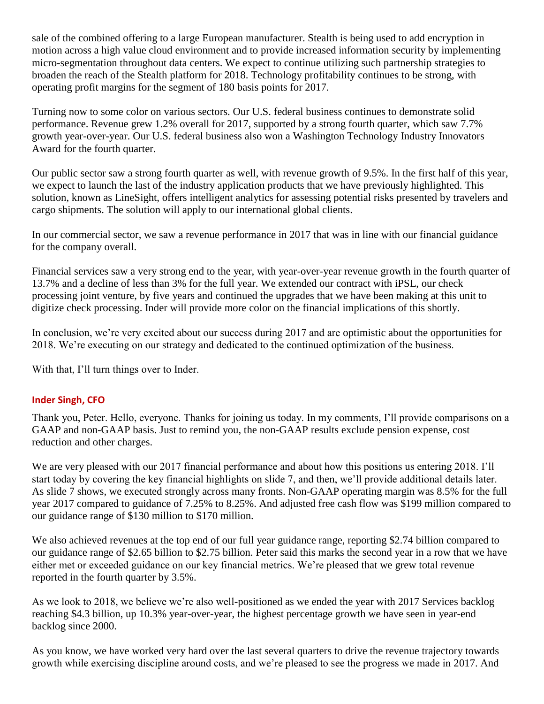sale of the combined offering to a large European manufacturer. Stealth is being used to add encryption in motion across a high value cloud environment and to provide increased information security by implementing micro-segmentation throughout data centers. We expect to continue utilizing such partnership strategies to broaden the reach of the Stealth platform for 2018. Technology profitability continues to be strong, with operating profit margins for the segment of 180 basis points for 2017.

Turning now to some color on various sectors. Our U.S. federal business continues to demonstrate solid performance. Revenue grew 1.2% overall for 2017, supported by a strong fourth quarter, which saw 7.7% growth year-over-year. Our U.S. federal business also won a Washington Technology Industry Innovators Award for the fourth quarter.

Our public sector saw a strong fourth quarter as well, with revenue growth of 9.5%. In the first half of this year, we expect to launch the last of the industry application products that we have previously highlighted. This solution, known as LineSight, offers intelligent analytics for assessing potential risks presented by travelers and cargo shipments. The solution will apply to our international global clients.

In our commercial sector, we saw a revenue performance in 2017 that was in line with our financial guidance for the company overall.

Financial services saw a very strong end to the year, with year-over-year revenue growth in the fourth quarter of 13.7% and a decline of less than 3% for the full year. We extended our contract with iPSL, our check processing joint venture, by five years and continued the upgrades that we have been making at this unit to digitize check processing. Inder will provide more color on the financial implications of this shortly.

In conclusion, we're very excited about our success during 2017 and are optimistic about the opportunities for 2018. We're executing on our strategy and dedicated to the continued optimization of the business.

With that, I'll turn things over to Inder.

#### **Inder Singh, CFO**

Thank you, Peter. Hello, everyone. Thanks for joining us today. In my comments, I'll provide comparisons on a GAAP and non-GAAP basis. Just to remind you, the non-GAAP results exclude pension expense, cost reduction and other charges.

We are very pleased with our 2017 financial performance and about how this positions us entering 2018. I'll start today by covering the key financial highlights on slide 7, and then, we'll provide additional details later. As slide 7 shows, we executed strongly across many fronts. Non-GAAP operating margin was 8.5% for the full year 2017 compared to guidance of 7.25% to 8.25%. And adjusted free cash flow was \$199 million compared to our guidance range of \$130 million to \$170 million.

We also achieved revenues at the top end of our full year guidance range, reporting \$2.74 billion compared to our guidance range of \$2.65 billion to \$2.75 billion. Peter said this marks the second year in a row that we have either met or exceeded guidance on our key financial metrics. We're pleased that we grew total revenue reported in the fourth quarter by 3.5%.

As we look to 2018, we believe we're also well-positioned as we ended the year with 2017 Services backlog reaching \$4.3 billion, up 10.3% year-over-year, the highest percentage growth we have seen in year-end backlog since 2000.

As you know, we have worked very hard over the last several quarters to drive the revenue trajectory towards growth while exercising discipline around costs, and we're pleased to see the progress we made in 2017. And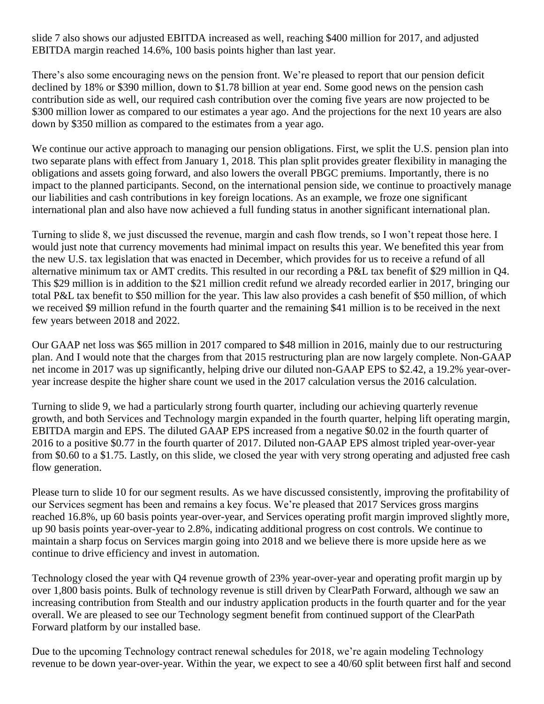slide 7 also shows our adjusted EBITDA increased as well, reaching \$400 million for 2017, and adjusted EBITDA margin reached 14.6%, 100 basis points higher than last year.

There's also some encouraging news on the pension front. We're pleased to report that our pension deficit declined by 18% or \$390 million, down to \$1.78 billion at year end. Some good news on the pension cash contribution side as well, our required cash contribution over the coming five years are now projected to be \$300 million lower as compared to our estimates a year ago. And the projections for the next 10 years are also down by \$350 million as compared to the estimates from a year ago.

We continue our active approach to managing our pension obligations. First, we split the U.S. pension plan into two separate plans with effect from January 1, 2018. This plan split provides greater flexibility in managing the obligations and assets going forward, and also lowers the overall PBGC premiums. Importantly, there is no impact to the planned participants. Second, on the international pension side, we continue to proactively manage our liabilities and cash contributions in key foreign locations. As an example, we froze one significant international plan and also have now achieved a full funding status in another significant international plan.

Turning to slide 8, we just discussed the revenue, margin and cash flow trends, so I won't repeat those here. I would just note that currency movements had minimal impact on results this year. We benefited this year from the new U.S. tax legislation that was enacted in December, which provides for us to receive a refund of all alternative minimum tax or AMT credits. This resulted in our recording a P&L tax benefit of \$29 million in Q4. This \$29 million is in addition to the \$21 million credit refund we already recorded earlier in 2017, bringing our total P&L tax benefit to \$50 million for the year. This law also provides a cash benefit of \$50 million, of which we received \$9 million refund in the fourth quarter and the remaining \$41 million is to be received in the next few years between 2018 and 2022.

Our GAAP net loss was \$65 million in 2017 compared to \$48 million in 2016, mainly due to our restructuring plan. And I would note that the charges from that 2015 restructuring plan are now largely complete. Non-GAAP net income in 2017 was up significantly, helping drive our diluted non-GAAP EPS to \$2.42, a 19.2% year-overyear increase despite the higher share count we used in the 2017 calculation versus the 2016 calculation.

Turning to slide 9, we had a particularly strong fourth quarter, including our achieving quarterly revenue growth, and both Services and Technology margin expanded in the fourth quarter, helping lift operating margin, EBITDA margin and EPS. The diluted GAAP EPS increased from a negative \$0.02 in the fourth quarter of 2016 to a positive \$0.77 in the fourth quarter of 2017. Diluted non-GAAP EPS almost tripled year-over-year from \$0.60 to a \$1.75. Lastly, on this slide, we closed the year with very strong operating and adjusted free cash flow generation.

Please turn to slide 10 for our segment results. As we have discussed consistently, improving the profitability of our Services segment has been and remains a key focus. We're pleased that 2017 Services gross margins reached 16.8%, up 60 basis points year-over-year, and Services operating profit margin improved slightly more, up 90 basis points year-over-year to 2.8%, indicating additional progress on cost controls. We continue to maintain a sharp focus on Services margin going into 2018 and we believe there is more upside here as we continue to drive efficiency and invest in automation.

Technology closed the year with Q4 revenue growth of 23% year-over-year and operating profit margin up by over 1,800 basis points. Bulk of technology revenue is still driven by ClearPath Forward, although we saw an increasing contribution from Stealth and our industry application products in the fourth quarter and for the year overall. We are pleased to see our Technology segment benefit from continued support of the ClearPath Forward platform by our installed base.

Due to the upcoming Technology contract renewal schedules for 2018, we're again modeling Technology revenue to be down year-over-year. Within the year, we expect to see a 40/60 split between first half and second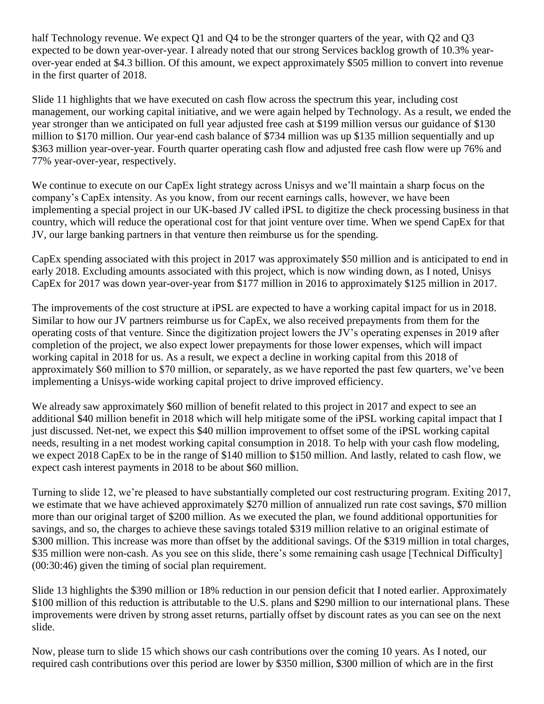half Technology revenue. We expect Q1 and Q4 to be the stronger quarters of the year, with Q2 and Q3 expected to be down year-over-year. I already noted that our strong Services backlog growth of 10.3% yearover-year ended at \$4.3 billion. Of this amount, we expect approximately \$505 million to convert into revenue in the first quarter of 2018.

Slide 11 highlights that we have executed on cash flow across the spectrum this year, including cost management, our working capital initiative, and we were again helped by Technology. As a result, we ended the year stronger than we anticipated on full year adjusted free cash at \$199 million versus our guidance of \$130 million to \$170 million. Our year-end cash balance of \$734 million was up \$135 million sequentially and up \$363 million year-over-year. Fourth quarter operating cash flow and adjusted free cash flow were up 76% and 77% year-over-year, respectively.

We continue to execute on our CapEx light strategy across Unisys and we'll maintain a sharp focus on the company's CapEx intensity. As you know, from our recent earnings calls, however, we have been implementing a special project in our UK-based JV called iPSL to digitize the check processing business in that country, which will reduce the operational cost for that joint venture over time. When we spend CapEx for that JV, our large banking partners in that venture then reimburse us for the spending.

CapEx spending associated with this project in 2017 was approximately \$50 million and is anticipated to end in early 2018. Excluding amounts associated with this project, which is now winding down, as I noted, Unisys CapEx for 2017 was down year-over-year from \$177 million in 2016 to approximately \$125 million in 2017.

The improvements of the cost structure at iPSL are expected to have a working capital impact for us in 2018. Similar to how our JV partners reimburse us for CapEx, we also received prepayments from them for the operating costs of that venture. Since the digitization project lowers the JV's operating expenses in 2019 after completion of the project, we also expect lower prepayments for those lower expenses, which will impact working capital in 2018 for us. As a result, we expect a decline in working capital from this 2018 of approximately \$60 million to \$70 million, or separately, as we have reported the past few quarters, we've been implementing a Unisys-wide working capital project to drive improved efficiency.

We already saw approximately \$60 million of benefit related to this project in 2017 and expect to see an additional \$40 million benefit in 2018 which will help mitigate some of the iPSL working capital impact that I just discussed. Net-net, we expect this \$40 million improvement to offset some of the iPSL working capital needs, resulting in a net modest working capital consumption in 2018. To help with your cash flow modeling, we expect 2018 CapEx to be in the range of \$140 million to \$150 million. And lastly, related to cash flow, we expect cash interest payments in 2018 to be about \$60 million.

Turning to slide 12, we're pleased to have substantially completed our cost restructuring program. Exiting 2017, we estimate that we have achieved approximately \$270 million of annualized run rate cost savings, \$70 million more than our original target of \$200 million. As we executed the plan, we found additional opportunities for savings, and so, the charges to achieve these savings totaled \$319 million relative to an original estimate of \$300 million. This increase was more than offset by the additional savings. Of the \$319 million in total charges, \$35 million were non-cash. As you see on this slide, there's some remaining cash usage [Technical Difficulty] (00:30:46) given the timing of social plan requirement.

Slide 13 highlights the \$390 million or 18% reduction in our pension deficit that I noted earlier. Approximately \$100 million of this reduction is attributable to the U.S. plans and \$290 million to our international plans. These improvements were driven by strong asset returns, partially offset by discount rates as you can see on the next slide.

Now, please turn to slide 15 which shows our cash contributions over the coming 10 years. As I noted, our required cash contributions over this period are lower by \$350 million, \$300 million of which are in the first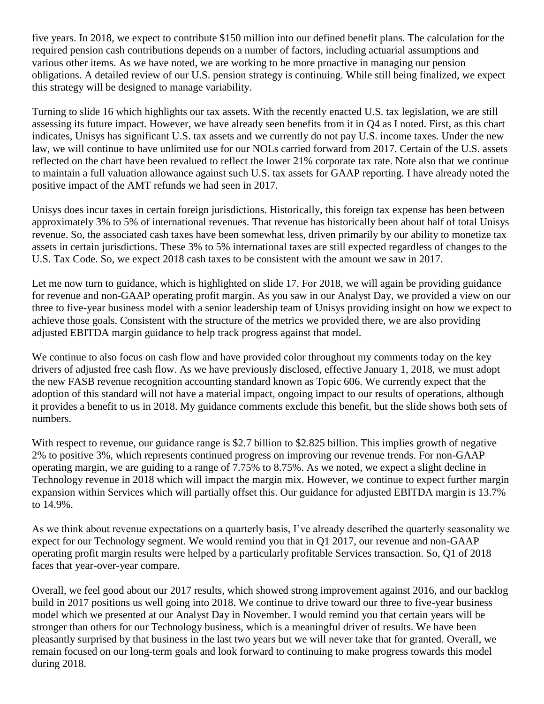five years. In 2018, we expect to contribute \$150 million into our defined benefit plans. The calculation for the required pension cash contributions depends on a number of factors, including actuarial assumptions and various other items. As we have noted, we are working to be more proactive in managing our pension obligations. A detailed review of our U.S. pension strategy is continuing. While still being finalized, we expect this strategy will be designed to manage variability.

Turning to slide 16 which highlights our tax assets. With the recently enacted U.S. tax legislation, we are still assessing its future impact. However, we have already seen benefits from it in Q4 as I noted. First, as this chart indicates, Unisys has significant U.S. tax assets and we currently do not pay U.S. income taxes. Under the new law, we will continue to have unlimited use for our NOLs carried forward from 2017. Certain of the U.S. assets reflected on the chart have been revalued to reflect the lower 21% corporate tax rate. Note also that we continue to maintain a full valuation allowance against such U.S. tax assets for GAAP reporting. I have already noted the positive impact of the AMT refunds we had seen in 2017.

Unisys does incur taxes in certain foreign jurisdictions. Historically, this foreign tax expense has been between approximately 3% to 5% of international revenues. That revenue has historically been about half of total Unisys revenue. So, the associated cash taxes have been somewhat less, driven primarily by our ability to monetize tax assets in certain jurisdictions. These 3% to 5% international taxes are still expected regardless of changes to the U.S. Tax Code. So, we expect 2018 cash taxes to be consistent with the amount we saw in 2017.

Let me now turn to guidance, which is highlighted on slide 17. For 2018, we will again be providing guidance for revenue and non-GAAP operating profit margin. As you saw in our Analyst Day, we provided a view on our three to five-year business model with a senior leadership team of Unisys providing insight on how we expect to achieve those goals. Consistent with the structure of the metrics we provided there, we are also providing adjusted EBITDA margin guidance to help track progress against that model.

We continue to also focus on cash flow and have provided color throughout my comments today on the key drivers of adjusted free cash flow. As we have previously disclosed, effective January 1, 2018, we must adopt the new FASB revenue recognition accounting standard known as Topic 606. We currently expect that the adoption of this standard will not have a material impact, ongoing impact to our results of operations, although it provides a benefit to us in 2018. My guidance comments exclude this benefit, but the slide shows both sets of numbers.

With respect to revenue, our guidance range is \$2.7 billion to \$2.825 billion. This implies growth of negative 2% to positive 3%, which represents continued progress on improving our revenue trends. For non-GAAP operating margin, we are guiding to a range of 7.75% to 8.75%. As we noted, we expect a slight decline in Technology revenue in 2018 which will impact the margin mix. However, we continue to expect further margin expansion within Services which will partially offset this. Our guidance for adjusted EBITDA margin is 13.7% to 14.9%.

As we think about revenue expectations on a quarterly basis, I've already described the quarterly seasonality we expect for our Technology segment. We would remind you that in Q1 2017, our revenue and non-GAAP operating profit margin results were helped by a particularly profitable Services transaction. So, Q1 of 2018 faces that year-over-year compare.

Overall, we feel good about our 2017 results, which showed strong improvement against 2016, and our backlog build in 2017 positions us well going into 2018. We continue to drive toward our three to five-year business model which we presented at our Analyst Day in November. I would remind you that certain years will be stronger than others for our Technology business, which is a meaningful driver of results. We have been pleasantly surprised by that business in the last two years but we will never take that for granted. Overall, we remain focused on our long-term goals and look forward to continuing to make progress towards this model during 2018.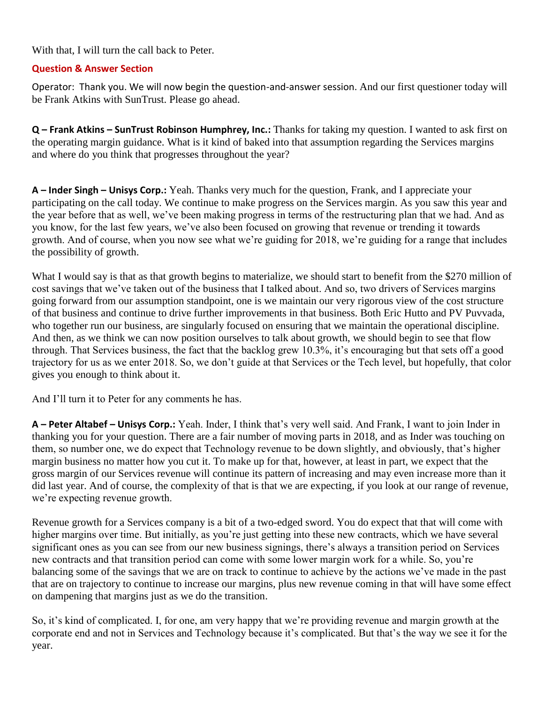With that, I will turn the call back to Peter.

## **Question & Answer Section**

Operator: Thank you. We will now begin the question-and-answer session. And our first questioner today will be Frank Atkins with SunTrust. Please go ahead.

**Q – Frank Atkins – SunTrust Robinson Humphrey, Inc.:** Thanks for taking my question. I wanted to ask first on the operating margin guidance. What is it kind of baked into that assumption regarding the Services margins and where do you think that progresses throughout the year?

**A – Inder Singh – Unisys Corp.:** Yeah. Thanks very much for the question, Frank, and I appreciate your participating on the call today. We continue to make progress on the Services margin. As you saw this year and the year before that as well, we've been making progress in terms of the restructuring plan that we had. And as you know, for the last few years, we've also been focused on growing that revenue or trending it towards growth. And of course, when you now see what we're guiding for 2018, we're guiding for a range that includes the possibility of growth.

What I would say is that as that growth begins to materialize, we should start to benefit from the \$270 million of cost savings that we've taken out of the business that I talked about. And so, two drivers of Services margins going forward from our assumption standpoint, one is we maintain our very rigorous view of the cost structure of that business and continue to drive further improvements in that business. Both Eric Hutto and PV Puvvada, who together run our business, are singularly focused on ensuring that we maintain the operational discipline. And then, as we think we can now position ourselves to talk about growth, we should begin to see that flow through. That Services business, the fact that the backlog grew 10.3%, it's encouraging but that sets off a good trajectory for us as we enter 2018. So, we don't guide at that Services or the Tech level, but hopefully, that color gives you enough to think about it.

And I'll turn it to Peter for any comments he has.

**A – Peter Altabef – Unisys Corp.:** Yeah. Inder, I think that's very well said. And Frank, I want to join Inder in thanking you for your question. There are a fair number of moving parts in 2018, and as Inder was touching on them, so number one, we do expect that Technology revenue to be down slightly, and obviously, that's higher margin business no matter how you cut it. To make up for that, however, at least in part, we expect that the gross margin of our Services revenue will continue its pattern of increasing and may even increase more than it did last year. And of course, the complexity of that is that we are expecting, if you look at our range of revenue, we're expecting revenue growth.

Revenue growth for a Services company is a bit of a two-edged sword. You do expect that that will come with higher margins over time. But initially, as you're just getting into these new contracts, which we have several significant ones as you can see from our new business signings, there's always a transition period on Services new contracts and that transition period can come with some lower margin work for a while. So, you're balancing some of the savings that we are on track to continue to achieve by the actions we've made in the past that are on trajectory to continue to increase our margins, plus new revenue coming in that will have some effect on dampening that margins just as we do the transition.

So, it's kind of complicated. I, for one, am very happy that we're providing revenue and margin growth at the corporate end and not in Services and Technology because it's complicated. But that's the way we see it for the year.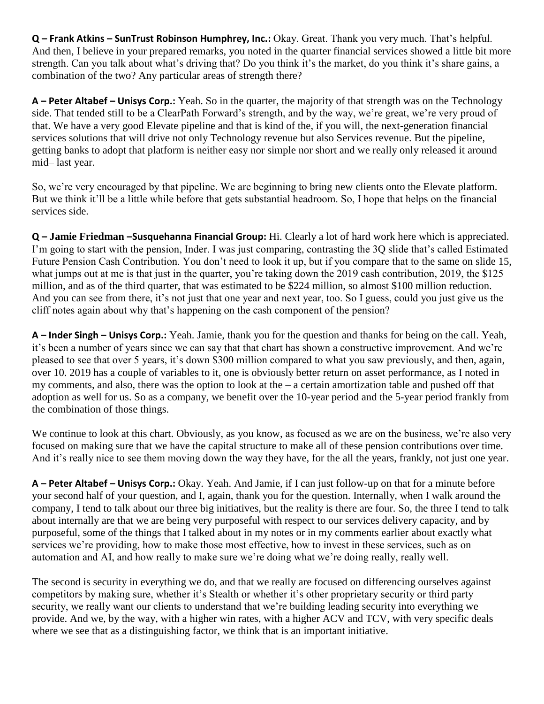**Q – Frank Atkins – SunTrust Robinson Humphrey, Inc.:** Okay. Great. Thank you very much. That's helpful. And then, I believe in your prepared remarks, you noted in the quarter financial services showed a little bit more strength. Can you talk about what's driving that? Do you think it's the market, do you think it's share gains, a combination of the two? Any particular areas of strength there?

**A – Peter Altabef – Unisys Corp.:** Yeah. So in the quarter, the majority of that strength was on the Technology side. That tended still to be a ClearPath Forward's strength, and by the way, we're great, we're very proud of that. We have a very good Elevate pipeline and that is kind of the, if you will, the next-generation financial services solutions that will drive not only Technology revenue but also Services revenue. But the pipeline, getting banks to adopt that platform is neither easy nor simple nor short and we really only released it around mid– last year.

So, we're very encouraged by that pipeline. We are beginning to bring new clients onto the Elevate platform. But we think it'll be a little while before that gets substantial headroom. So, I hope that helps on the financial services side.

**Q – Jamie Friedman –Susquehanna Financial Group:** Hi. Clearly a lot of hard work here which is appreciated. I'm going to start with the pension, Inder. I was just comparing, contrasting the 3Q slide that's called Estimated Future Pension Cash Contribution. You don't need to look it up, but if you compare that to the same on slide 15, what jumps out at me is that just in the quarter, you're taking down the 2019 cash contribution, 2019, the \$125 million, and as of the third quarter, that was estimated to be \$224 million, so almost \$100 million reduction. And you can see from there, it's not just that one year and next year, too. So I guess, could you just give us the cliff notes again about why that's happening on the cash component of the pension?

**A – Inder Singh – Unisys Corp.:** Yeah. Jamie, thank you for the question and thanks for being on the call. Yeah, it's been a number of years since we can say that that chart has shown a constructive improvement. And we're pleased to see that over 5 years, it's down \$300 million compared to what you saw previously, and then, again, over 10. 2019 has a couple of variables to it, one is obviously better return on asset performance, as I noted in my comments, and also, there was the option to look at the – a certain amortization table and pushed off that adoption as well for us. So as a company, we benefit over the 10-year period and the 5-year period frankly from the combination of those things.

We continue to look at this chart. Obviously, as you know, as focused as we are on the business, we're also very focused on making sure that we have the capital structure to make all of these pension contributions over time. And it's really nice to see them moving down the way they have, for the all the years, frankly, not just one year.

**A – Peter Altabef – Unisys Corp.:** Okay. Yeah. And Jamie, if I can just follow-up on that for a minute before your second half of your question, and I, again, thank you for the question. Internally, when I walk around the company, I tend to talk about our three big initiatives, but the reality is there are four. So, the three I tend to talk about internally are that we are being very purposeful with respect to our services delivery capacity, and by purposeful, some of the things that I talked about in my notes or in my comments earlier about exactly what services we're providing, how to make those most effective, how to invest in these services, such as on automation and AI, and how really to make sure we're doing what we're doing really, really well.

The second is security in everything we do, and that we really are focused on differencing ourselves against competitors by making sure, whether it's Stealth or whether it's other proprietary security or third party security, we really want our clients to understand that we're building leading security into everything we provide. And we, by the way, with a higher win rates, with a higher ACV and TCV, with very specific deals where we see that as a distinguishing factor, we think that is an important initiative.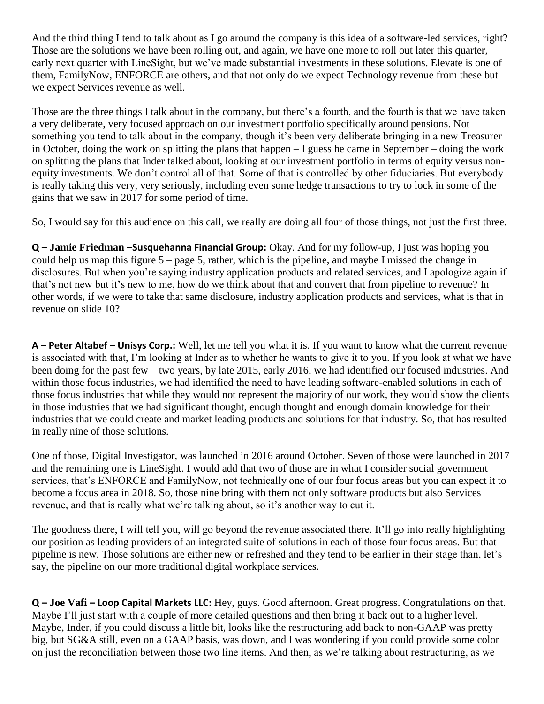And the third thing I tend to talk about as I go around the company is this idea of a software-led services, right? Those are the solutions we have been rolling out, and again, we have one more to roll out later this quarter, early next quarter with LineSight, but we've made substantial investments in these solutions. Elevate is one of them, FamilyNow, ENFORCE are others, and that not only do we expect Technology revenue from these but we expect Services revenue as well.

Those are the three things I talk about in the company, but there's a fourth, and the fourth is that we have taken a very deliberate, very focused approach on our investment portfolio specifically around pensions. Not something you tend to talk about in the company, though it's been very deliberate bringing in a new Treasurer in October, doing the work on splitting the plans that happen – I guess he came in September – doing the work on splitting the plans that Inder talked about, looking at our investment portfolio in terms of equity versus nonequity investments. We don't control all of that. Some of that is controlled by other fiduciaries. But everybody is really taking this very, very seriously, including even some hedge transactions to try to lock in some of the gains that we saw in 2017 for some period of time.

So, I would say for this audience on this call, we really are doing all four of those things, not just the first three.

**Q – Jamie Friedman –Susquehanna Financial Group:** Okay. And for my follow-up, I just was hoping you could help us map this figure 5 – page 5, rather, which is the pipeline, and maybe I missed the change in disclosures. But when you're saying industry application products and related services, and I apologize again if that's not new but it's new to me, how do we think about that and convert that from pipeline to revenue? In other words, if we were to take that same disclosure, industry application products and services, what is that in revenue on slide 10?

**A – Peter Altabef – Unisys Corp.:** Well, let me tell you what it is. If you want to know what the current revenue is associated with that, I'm looking at Inder as to whether he wants to give it to you. If you look at what we have been doing for the past few – two years, by late 2015, early 2016, we had identified our focused industries. And within those focus industries, we had identified the need to have leading software-enabled solutions in each of those focus industries that while they would not represent the majority of our work, they would show the clients in those industries that we had significant thought, enough thought and enough domain knowledge for their industries that we could create and market leading products and solutions for that industry. So, that has resulted in really nine of those solutions.

One of those, Digital Investigator, was launched in 2016 around October. Seven of those were launched in 2017 and the remaining one is LineSight. I would add that two of those are in what I consider social government services, that's ENFORCE and FamilyNow, not technically one of our four focus areas but you can expect it to become a focus area in 2018. So, those nine bring with them not only software products but also Services revenue, and that is really what we're talking about, so it's another way to cut it.

The goodness there, I will tell you, will go beyond the revenue associated there. It'll go into really highlighting our position as leading providers of an integrated suite of solutions in each of those four focus areas. But that pipeline is new. Those solutions are either new or refreshed and they tend to be earlier in their stage than, let's say, the pipeline on our more traditional digital workplace services.

**Q – Joe Vafi – Loop Capital Markets LLC:** Hey, guys. Good afternoon. Great progress. Congratulations on that. Maybe I'll just start with a couple of more detailed questions and then bring it back out to a higher level. Maybe, Inder, if you could discuss a little bit, looks like the restructuring add back to non-GAAP was pretty big, but SG&A still, even on a GAAP basis, was down, and I was wondering if you could provide some color on just the reconciliation between those two line items. And then, as we're talking about restructuring, as we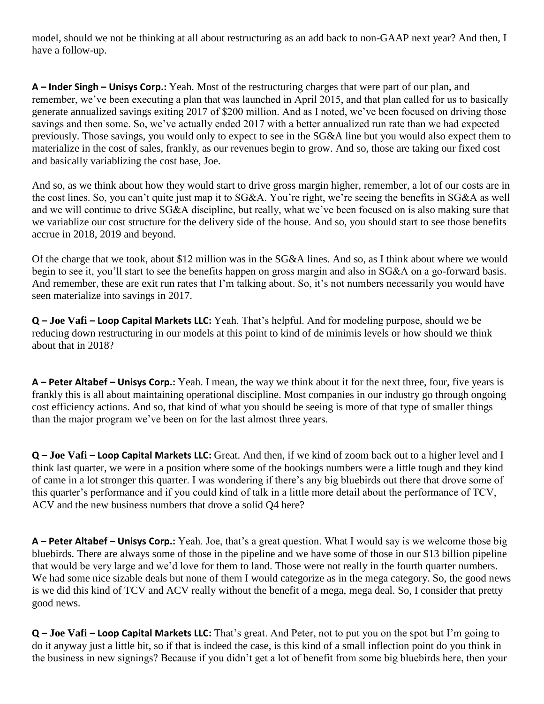model, should we not be thinking at all about restructuring as an add back to non-GAAP next year? And then, I have a follow-up.

**A – Inder Singh – Unisys Corp.:** Yeah. Most of the restructuring charges that were part of our plan, and remember, we've been executing a plan that was launched in April 2015, and that plan called for us to basically generate annualized savings exiting 2017 of \$200 million. And as I noted, we've been focused on driving those savings and then some. So, we've actually ended 2017 with a better annualized run rate than we had expected previously. Those savings, you would only to expect to see in the SG&A line but you would also expect them to materialize in the cost of sales, frankly, as our revenues begin to grow. And so, those are taking our fixed cost and basically variablizing the cost base, Joe.

And so, as we think about how they would start to drive gross margin higher, remember, a lot of our costs are in the cost lines. So, you can't quite just map it to SG&A. You're right, we're seeing the benefits in SG&A as well and we will continue to drive SG&A discipline, but really, what we've been focused on is also making sure that we variablize our cost structure for the delivery side of the house. And so, you should start to see those benefits accrue in 2018, 2019 and beyond.

Of the charge that we took, about \$12 million was in the SG&A lines. And so, as I think about where we would begin to see it, you'll start to see the benefits happen on gross margin and also in SG&A on a go-forward basis. And remember, these are exit run rates that I'm talking about. So, it's not numbers necessarily you would have seen materialize into savings in 2017.

**Q – Joe Vafi – Loop Capital Markets LLC:** Yeah. That's helpful. And for modeling purpose, should we be reducing down restructuring in our models at this point to kind of de minimis levels or how should we think about that in 2018?

**A – Peter Altabef – Unisys Corp.:** Yeah. I mean, the way we think about it for the next three, four, five years is frankly this is all about maintaining operational discipline. Most companies in our industry go through ongoing cost efficiency actions. And so, that kind of what you should be seeing is more of that type of smaller things than the major program we've been on for the last almost three years.

**Q – Joe Vafi – Loop Capital Markets LLC:** Great. And then, if we kind of zoom back out to a higher level and I think last quarter, we were in a position where some of the bookings numbers were a little tough and they kind of came in a lot stronger this quarter. I was wondering if there's any big bluebirds out there that drove some of this quarter's performance and if you could kind of talk in a little more detail about the performance of TCV, ACV and the new business numbers that drove a solid Q4 here?

**A – Peter Altabef – Unisys Corp.:** Yeah. Joe, that's a great question. What I would say is we welcome those big bluebirds. There are always some of those in the pipeline and we have some of those in our \$13 billion pipeline that would be very large and we'd love for them to land. Those were not really in the fourth quarter numbers. We had some nice sizable deals but none of them I would categorize as in the mega category. So, the good news is we did this kind of TCV and ACV really without the benefit of a mega, mega deal. So, I consider that pretty good news.

**Q – Joe Vafi – Loop Capital Markets LLC:** That's great. And Peter, not to put you on the spot but I'm going to do it anyway just a little bit, so if that is indeed the case, is this kind of a small inflection point do you think in the business in new signings? Because if you didn't get a lot of benefit from some big bluebirds here, then your